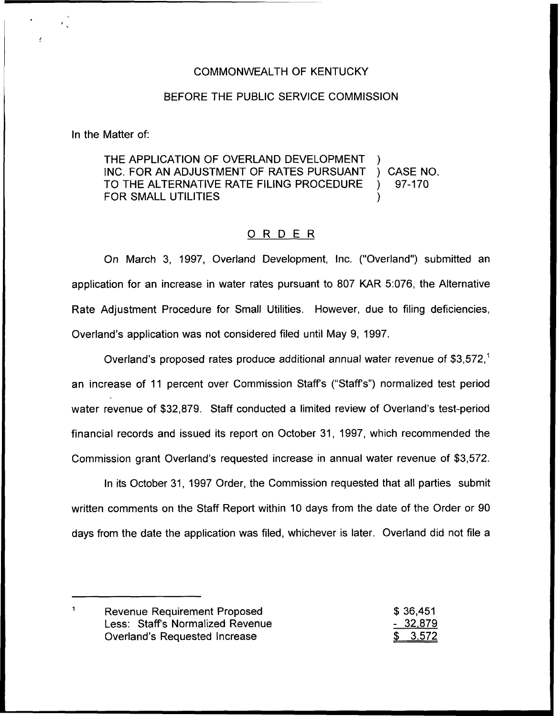### COMMONWEALTH OF KENTUCKY

### BEFORE THE PUBLIC SERVICE COMMISSION

In the Matter of:

THE APPLICATION OF OVERLAND DEVELOPMENT )<br>INC. FOR AN ADJUSTMENT OF RATES PURSUANT ) CASE NO. INC. FOR AN ADJUSTMENT OF RATES PURSUANT ) CASE NO.<br>TO THE ALTERNATIVE RATE FILING PROCEDURE ) 97-170 TO THE ALTERNATIVE RATE FILING PROCEDURE ) FOR SMALL UTILITIES

## 0 <sup>R</sup> <sup>D</sup> <sup>E</sup> <sup>R</sup>

On March 3, 1997, Overland Development, Inc. ("Overland") submitted ar application for an increase in water rates pursuant to 807 KAR 5:076, the Alternative Rate Adjustment Procedure for Small Utilities. However, due to filing deficiencies, Overland's application was not considered filed until May 9, 1997.

Overland's proposed rates produce additional annual water revenue of \$3,572," an increase of 11 percent over Commission Staffs ("Staff's") normalized test period water revenue of \$32,879. Staff conducted a limited review of Overland's test-period financial records and issued its report on October 31, 1997, which recommended the Commission grant Overland's requested increase in annual water revenue of \$3,572.

In its October 31, 1997 Order, the Commission requested that all parties submit written comments on the Staff Report within 10 days from the date of the Order or 90 days from the date the application was filed, whichever is later. Overland did not file a

 $\mathbf{1}$ Revenue Requirement Proposed \$ 36,451 Less: Staffs Normalized Revenue 32,879 Overland's Requested Increase  $3,572$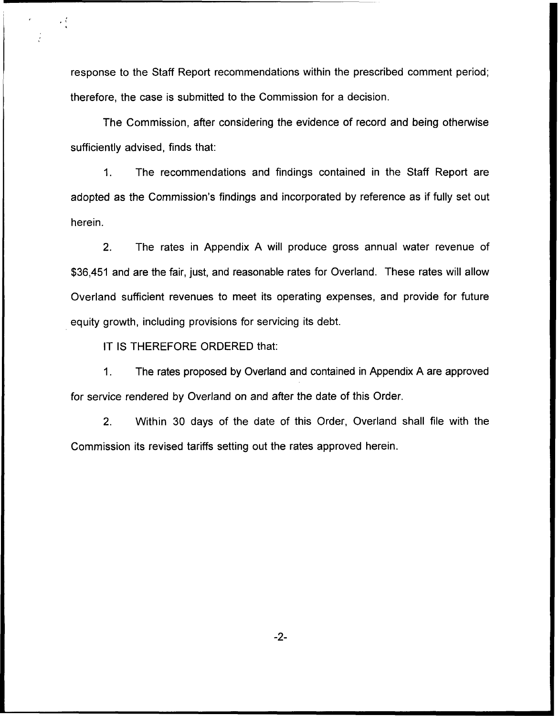response to the Staff Report recommendations within the prescribed comment period; therefore, the case is submitted to the Commission for a decision.

The Commission, after considering the evidence of record and being otherwise sufficiently advised, finds that:

1. The recommendations and findings contained in the Staff Report are adopted as the Commission's findings and incorporated by reference as if fully set out herein.

2. The rates in Appendix A will produce gross annual water revenue of \$36,451 and are the fair, just, and reasonable rates for Overland. These rates will allow Overland sufficient revenues to meet its operating expenses, and provide for future equity growth, including provisions for servicing its debt.

IT IS THEREFORE ORDERED that:

 $\frac{1}{2}$ 

1. The rates proposed by Overland and contained in Appendix A are approved for service rendered by Overland on and after the date of this Order.

2. Within 30 days of the date of this Order, Overland shall file with the Commission its revised tariffs setting out the rates approved herein.

-2-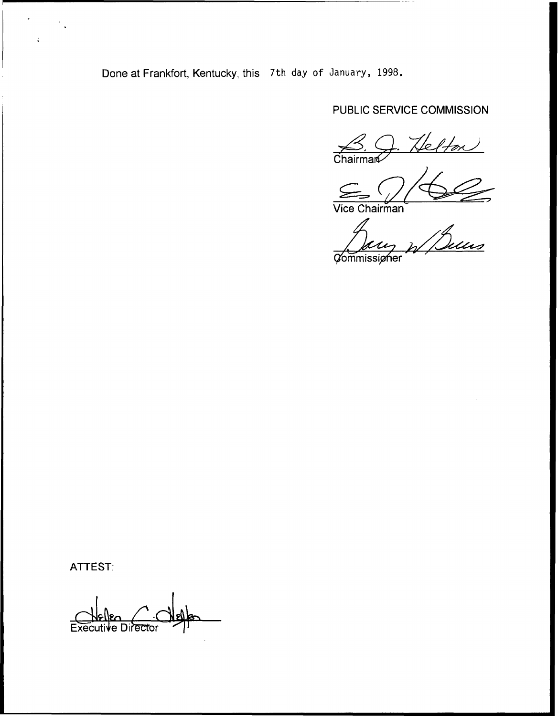Done at Frankfort, Kentucky, this 7th day of January, 1998.

# PUBLIC SERVICE COMMISSION

 $\frac{\beta}{\beta}$ . Helton

Vice Chairman

Buns **Commissigher** 

ATTEST:

÷,

Executive Director  $C$  def